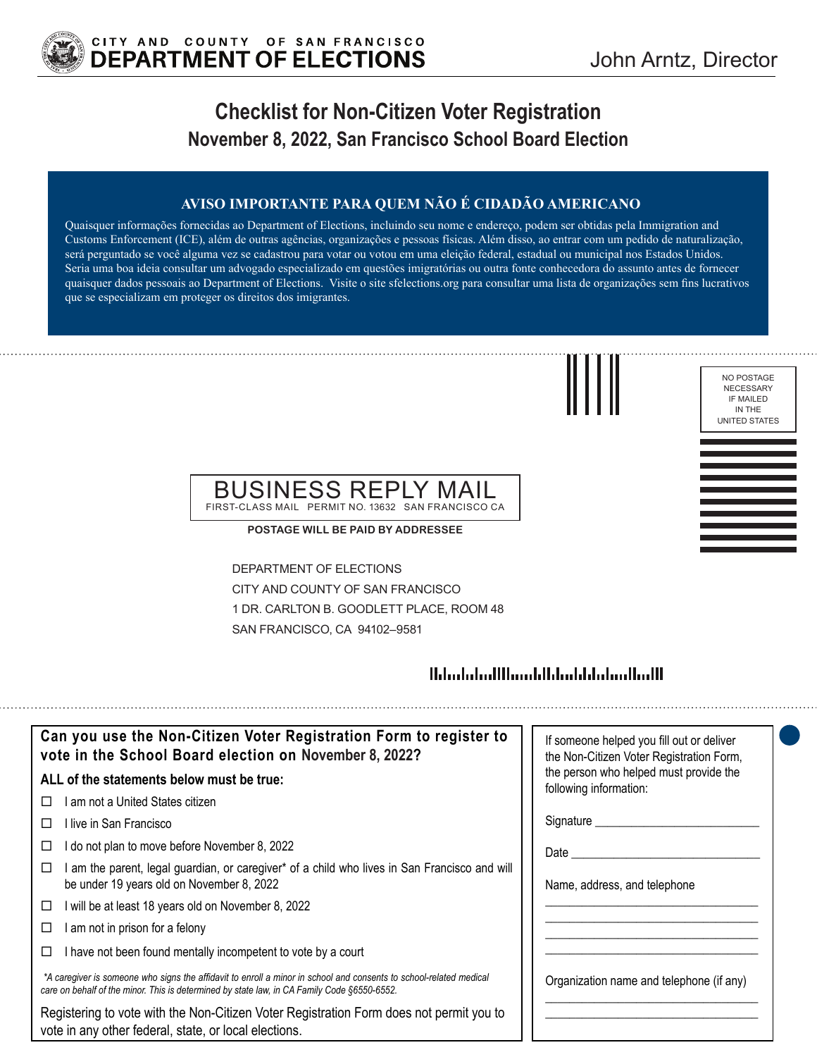

## **Checklist for Non-Citizen Voter Registration November 8, 2022, San Francisco School Board Election**

#### **AVISO IMPORTANTE PARA QUEM NÃO É CIDADÃO AMERICANO**

Quaisquer informações fornecidas ao Department of Elections, incluindo seu nome e endereço, podem ser obtidas pela Immigration and Customs Enforcement (ICE), além de outras agências, organizações e pessoas físicas. Além disso, ao entrar com um pedido de naturalização, será perguntado se você alguma vez se cadastrou para votar ou votou em uma eleição federal, estadual ou municipal nos Estados Unidos. Seria uma boa ideia consultar um advogado especializado em questões imigratórias ou outra fonte conhecedora do assunto antes de fornecer quaisquer dados pessoais ao Department of Elections. Visite o site sfelections.org para consultar uma lista de organizações sem fins lucrativos que se especializam em proteger os direitos dos imigrantes.





#### BUSINESS REPLY MAIL FIRST-CLASS MAIL PERMIT NO. 13632 SAN FRANCISCO CA

**POSTAGE WILL BE PAID BY ADDRESSEE**

DEPARTMENT OF ELECTIONS CITY AND COUNTY OF SAN FRANCISCO 1 DR. CARLTON B. GOODLETT PLACE, ROOM 48 SAN FRANCISCO, CA 94102–9581

### <u> Ildrebalari IIII.aarti Ildrebilda laadkalli</u>

| Can you use the Non-Citizen Voter Registration Form to register to<br>vote in the School Board election on November 8, 2022?                                                                                      | If someone helped you fill out or deliver<br>the Non-Citizen Voter Registration Form, |
|-------------------------------------------------------------------------------------------------------------------------------------------------------------------------------------------------------------------|---------------------------------------------------------------------------------------|
| ALL of the statements below must be true:                                                                                                                                                                         | the person who helped must provide the<br>following information:                      |
| am not a United States citizen<br>$\perp$                                                                                                                                                                         |                                                                                       |
| ⊟live in San Francisco                                                                                                                                                                                            | Signature ___________                                                                 |
| do not plan to move before November 8, 2022                                                                                                                                                                       | Date                                                                                  |
| am the parent, legal guardian, or caregiver* of a child who lives in San Francisco and will<br>be under 19 years old on November 8, 2022                                                                          | Name, address, and telephone                                                          |
| will be at least 18 years old on November 8, 2022<br>□                                                                                                                                                            |                                                                                       |
| am not in prison for a felony                                                                                                                                                                                     |                                                                                       |
| I have not been found mentally incompetent to vote by a court                                                                                                                                                     |                                                                                       |
| *A caregiver is someone who signs the affidavit to enroll a minor in school and consents to school-related medical<br>care on behalf of the minor. This is determined by state law, in CA Family Code §6550-6552. | Organization name and telephone (if any)                                              |
| Registering to vote with the Non-Citizen Voter Registration Form does not permit you to<br>vote in any other federal, state, or local elections.                                                                  |                                                                                       |